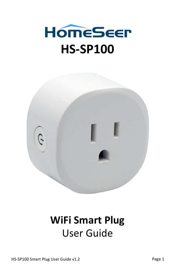



# **WiFi Smart Plug** User Guide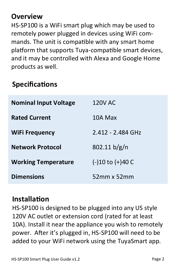### **Overview**

HS-SP100 is a WiFi smart plug which may be used to remotely power plugged in devices using WiFi commands. The unit is compatible with any smart home platform that supports Tuya-compatible smart devices, and it may be controlled with Alexa and Google Home products as well.

### **Specifications**

| <b>Nominal Input Voltage</b> | 120V AC              |
|------------------------------|----------------------|
| <b>Rated Current</b>         | 10A Max              |
| <b>WiFi Frequency</b>        | 2 412 - 2 484 GHz    |
| <b>Network Protocol</b>      | 802.11 b/g/n         |
| <b>Working Temperature</b>   | $(-)10$ to $(+)40$ C |
| <b>Dimensions</b>            | $52mm \times 52mm$   |

### **Installation**

HS-SP100 is designed to be plugged into any US style 120V AC outlet or extension cord (rated for at least 10A). Install it near the appliance you wish to remotely power. After it's plugged in, HS-SP100 will need to be added to your WiFi network using the TuyaSmart app.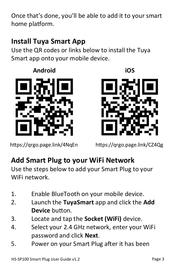Once that's done, you'll be able to add it to your smart home platform.

# **Install Tuya Smart App**

Use the QR codes or links below to install the Tuya Smart ann onto your mobile device

#### **Android**



https://qrgo.page.link/4NqEn



https://qrgo.page.link/CZ4Qg

# **Add Smart Plug to your WiFi Network**

Use the steps below to add your Smart Plug to your WiFi network.

- 1. Enable BlueTooth on your mobile device.
- 2. Launch the **TuyaSmart** app and click the **Add Device** button.
- 3. Locate and tap the **Socket (WiFi)** device.
- 4. Select your 2.4 GHz network, enter your WiFi password and click **Next**.
- 5. Power on your Smart Plug after it has been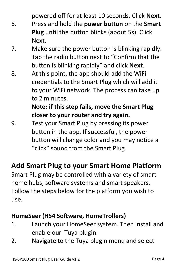powered off for at least 10 seconds. Click **Next**.

- 6. Press and hold the **power button** on the **Smart Plug** until the button blinks (about 5s). Click Next.
- 7. Make sure the power button is blinking rapidly. Tap the radio button next to "Confirm that the button is blinking rapidly" and click **Next**.
- 8. At this point, the app should add the WiFi credentials to the Smart Plug which will add it to your WiFi network. The process can take up to 2 minutes.

### **Note: if this step fails, move the Smart Plug closer to your router and try again.**

9. Test your Smart Plug by pressing its power button in the app. If successful, the power button will change color and you may notice a "click" sound from the Smart Plug.

# **Add Smart Plug to your Smart Home Platform**

Smart Plug may be controlled with a variety of smart home hubs, software systems and smart speakers. Follow the steps below for the platform you wish to use.

### **HomeSeer (HS4 Software, HomeTrollers)**

- 1. Launch your HomeSeer system. Then install and enable our Tuya plugin.
- 2. Navigate to the Tuya plugin menu and select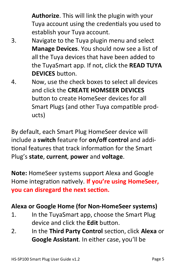**Authorize**. This will link the plugin with your Tuya account using the credentials you used to establish your Tuya account.

- 3. Navigate to the Tuya plugin menu and select **Manage Devices**. You should now see a list of all the Tuya devices that have been added to the TuyaSmart app. If not, click the **READ TUYA DEVICES** button.
- 4. Now, use the check boxes to select all devices and click the **CREATE HOMSEER DEVICES**  button to create HomeSeer devices for all Smart Plugs (and other Tuya compatible products)

By default, each Smart Plug HomeSeer device will include a **switch** feature for **on/off control** and additional features that track information for the Smart Plug's **state**, **current**, **power** and **voltage**.

**Note:** HomeSeer systems support Alexa and Google Home integration natively. **If you're using HomeSeer, you can disregard the next section.**

#### **Alexa or Google Home (for Non-HomeSeer systems)**

- 1. In the TuyaSmart app, choose the Smart Plug device and click the **Edit** button.
- 2. In the **Third Party Control** section, click **Alexa** or **Google Assistant**. In either case, you'll be